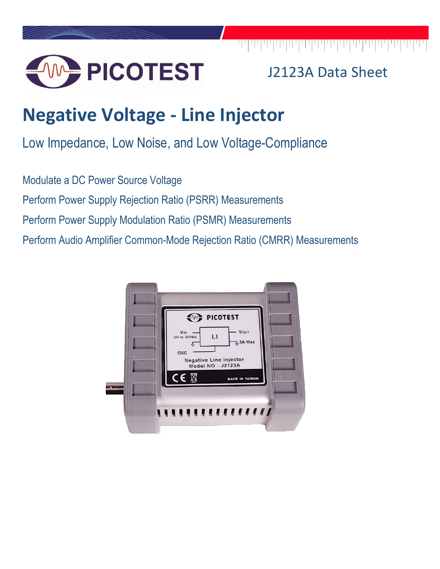

## J2123A Data Sheet

# **Negative Voltage - Line Injector**

Low Impedance, Low Noise, and Low Voltage-Compliance

Modulate a DC Power Source Voltage Perform Power Supply Rejection Ratio (PSRR) Measurements Perform Power Supply Modulation Ratio (PSMR) Measurements Perform Audio Amplifier Common-Mode Rejection Ratio (CMRR) Measurements

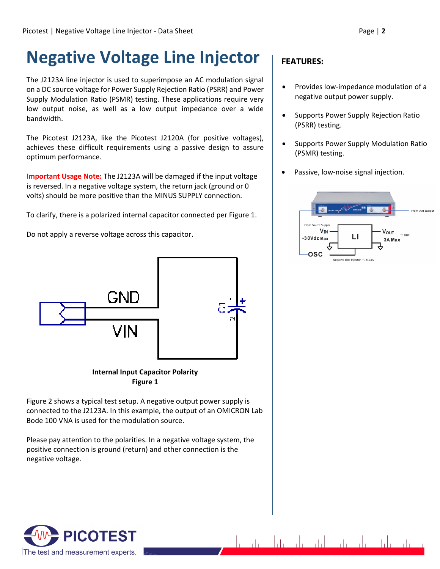## **Negative Voltage Line Injector**

The J2123A line injector is used to superimpose an AC modulation signal on a DC source voltage for Power Supply Rejection Ratio (PSRR) and Power Supply Modulation Ratio (PSMR) testing. These applications require very low output noise, as well as a low output impedance over a wide bandwidth.

The Picotest J2123A, like the Picotest J2120A (for positive voltages), achieves these difficult requirements using a passive design to assure optimum performance.

**Important Usage Note:** The J2123A will be damaged if the input voltage is reversed. In a negative voltage system, the return jack (ground or 0 volts) should be more positive than the MINUS SUPPLY connection.

To clarify, there is a polarized internal capacitor connected per Figure 1.

Do not apply a reverse voltage across this capacitor.



#### **Internal Input Capacitor Polarity Figure 1**

Figure 2 shows a typical test setup. A negative output power supply is connected to the J2123A. In this example, the output of an OMICRON Lab Bode 100 VNA is used for the modulation source.

Please pay attention to the polarities. In a negative voltage system, the positive connection is ground (return) and other connection is the negative voltage.

### **FEATURES:**

- Provides low-impedance modulation of a negative output power supply.
- Supports Power Supply Rejection Ratio (PSRR) testing.
- Supports Power Supply Modulation Ratio (PSMR) testing.
- Passive, low-noise signal injection.



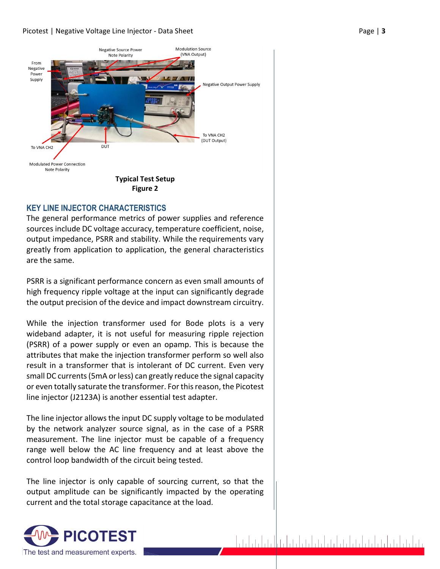

#### **KEY LINE INJECTOR CHARACTERISTICS**

The general performance metrics of power supplies and reference sources include DC voltage accuracy, temperature coefficient, noise, output impedance, PSRR and stability. While the requirements vary greatly from application to application, the general characteristics are the same.

PSRR is a significant performance concern as even small amounts of high frequency ripple voltage at the input can significantly degrade the output precision of the device and impact downstream circuitry.

While the injection transformer used for Bode plots is a very wideband adapter, it is not useful for measuring ripple rejection (PSRR) of a power supply or even an opamp. This is because the attributes that make the injection transformer perform so well also result in a transformer that is intolerant of DC current. Even very small DC currents (5mA or less) can greatly reduce the signal capacity or even totally saturate the transformer. For this reason, the Picotest line injector (J2123A) is another essential test adapter.

The line injector allows the input DC supply voltage to be modulated by the network analyzer source signal, as in the case of a PSRR measurement. The line injector must be capable of a frequency range well below the AC line frequency and at least above the control loop bandwidth of the circuit being tested.

The line injector is only capable of sourcing current, so that the output amplitude can be significantly impacted by the operating current and the total storage capacitance at the load.

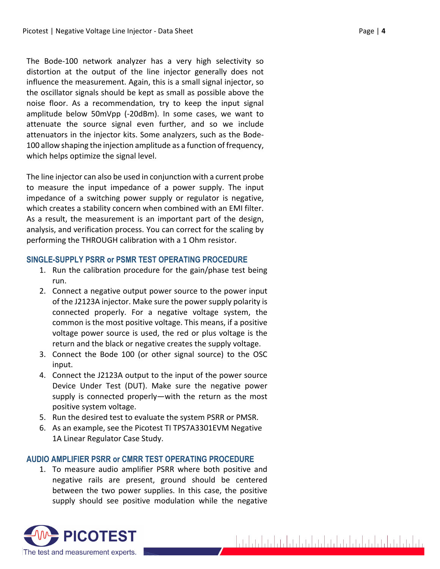The Bode-100 network analyzer has a very high selectivity so distortion at the output of the line injector generally does not influence the measurement. Again, this is a small signal injector, so the oscillator signals should be kept as small as possible above the noise floor. As a recommendation, try to keep the input signal amplitude below 50mVpp (-20dBm). In some cases, we want to attenuate the source signal even further, and so we include attenuators in the injector kits. Some analyzers, such as the Bode-100 allow shaping the injection amplitude as a function of frequency, which helps optimize the signal level.

The line injector can also be used in conjunction with a current probe to measure the input impedance of a power supply. The input impedance of a switching power supply or regulator is negative, which creates a stability concern when combined with an EMI filter. As a result, the measurement is an important part of the design, analysis, and verification process. You can correct for the scaling by performing the THROUGH calibration with a 1 Ohm resistor.

#### **SINGLE-SUPPLY PSRR or PSMR TEST OPERATING PROCEDURE**

- 1. Run the calibration procedure for the gain/phase test being run.
- 2. Connect a negative output power source to the power input of the J2123A injector. Make sure the power supply polarity is connected properly. For a negative voltage system, the common is the most positive voltage. This means, if a positive voltage power source is used, the red or plus voltage is the return and the black or negative creates the supply voltage.
- 3. Connect the Bode 100 (or other signal source) to the OSC input.
- 4. Connect the J2123A output to the input of the power source Device Under Test (DUT). Make sure the negative power supply is connected properly—with the return as the most positive system voltage.
- 5. Run the desired test to evaluate the system PSRR or PMSR.
- 6. As an example, see the Picotest TI TPS7A3301EVM Negative 1A Linear Regulator Case Study.

#### **AUDIO AMPLIFIER PSRR or CMRR TEST OPERATING PROCEDURE**

1. To measure audio amplifier PSRR where both positive and negative rails are present, ground should be centered between the two power supplies. In this case, the positive supply should see positive modulation while the negative

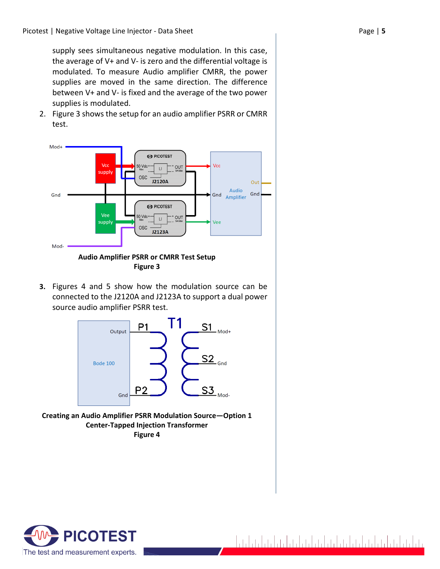supply sees simultaneous negative modulation. In this case, the average of V+ and V- is zero and the differential voltage is modulated. To measure Audio amplifier CMRR, the power supplies are moved in the same direction. The difference between V+ and V- is fixed and the average of the two power supplies is modulated.

2. Figure 3 shows the setup for an audio amplifier PSRR or CMRR test.



**Figure 3**

**3.** Figures 4 and 5 show how the modulation source can be connected to the J2120A and J2123A to support a dual power source audio amplifier PSRR test.



**Creating an Audio Amplifier PSRR Modulation Source—Option 1 Center-Tapped Injection Transformer Figure 4**

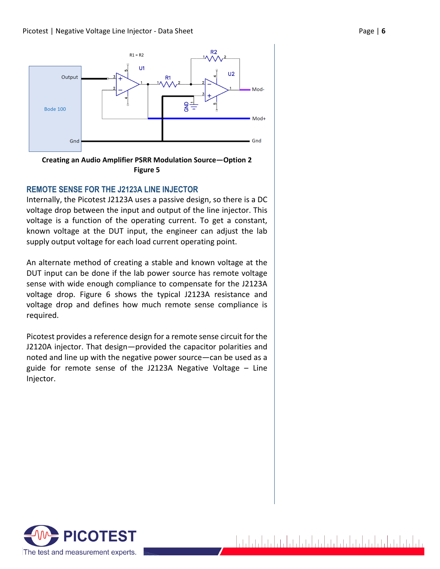



#### **REMOTE SENSE FOR THE J2123A LINE INJECTOR**

Internally, the Picotest J2123A uses a passive design, so there is a DC voltage drop between the input and output of the line injector. This voltage is a function of the operating current. To get a constant, known voltage at the DUT input, the engineer can adjust the lab supply output voltage for each load current operating point.

An alternate method of creating a stable and known voltage at the DUT input can be done if the lab power source has remote voltage sense with wide enough compliance to compensate for the J2123A voltage drop. Figure 6 shows the typical J2123A resistance and voltage drop and defines how much remote sense compliance is required.

Picotest provides a reference design for a remote sense circuit for the J2120A injector. That design—provided the capacitor polarities and noted and line up with the negative power source—can be used as a guide for remote sense of the J2123A Negative Voltage – Line Injector.

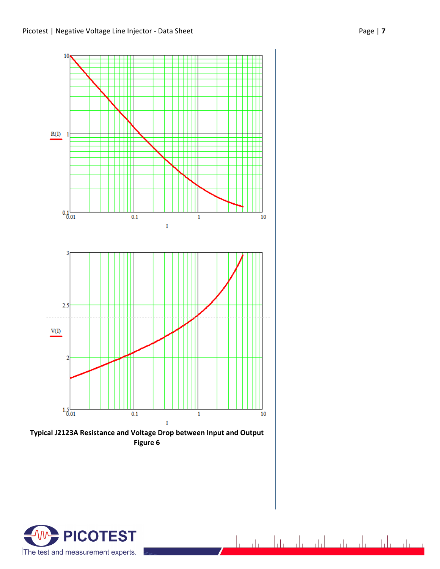



تباعدا بنواعد اعتراض اعتراضا بنواعد اعتراضا والمادا